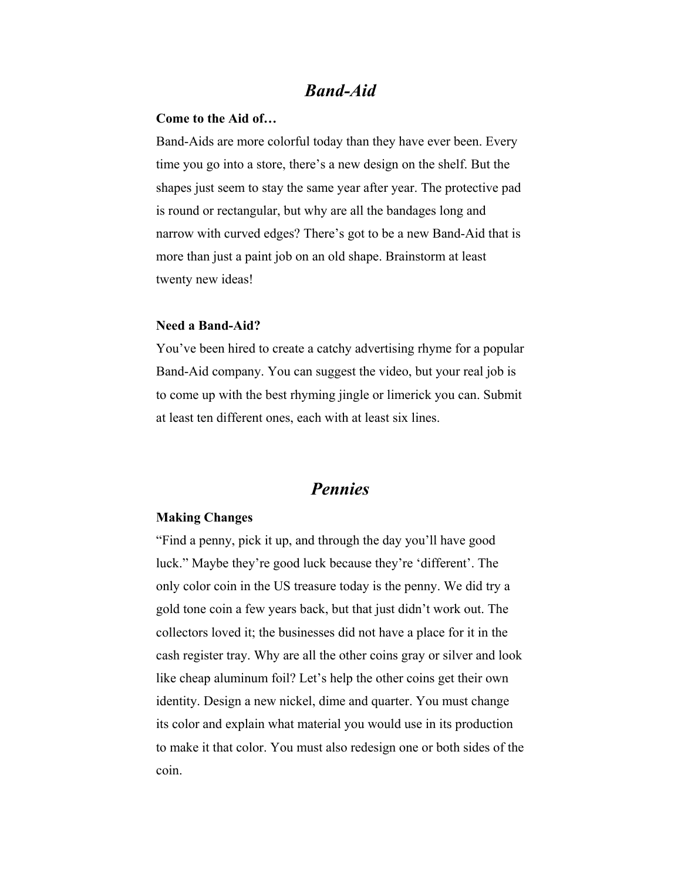## *Band-Aid*

#### **Come to the Aid of…**

Band-Aids are more colorful today than they have ever been. Every time you go into a store, there's a new design on the shelf. But the shapes just seem to stay the same year after year. The protective pad is round or rectangular, but why are all the bandages long and narrow with curved edges? There's got to be a new Band-Aid that is more than just a paint job on an old shape. Brainstorm at least twenty new ideas!

#### **Need a Band-Aid?**

You've been hired to create a catchy advertising rhyme for a popular Band-Aid company. You can suggest the video, but your real job is to come up with the best rhyming jingle or limerick you can. Submit at least ten different ones, each with at least six lines.

## *Pennies*

#### **Making Changes**

"Find a penny, pick it up, and through the day you'll have good luck." Maybe they're good luck because they're 'different'. The only color coin in the US treasure today is the penny. We did try a gold tone coin a few years back, but that just didn't work out. The collectors loved it; the businesses did not have a place for it in the cash register tray. Why are all the other coins gray or silver and look like cheap aluminum foil? Let's help the other coins get their own identity. Design a new nickel, dime and quarter. You must change its color and explain what material you would use in its production to make it that color. You must also redesign one or both sides of the coin.